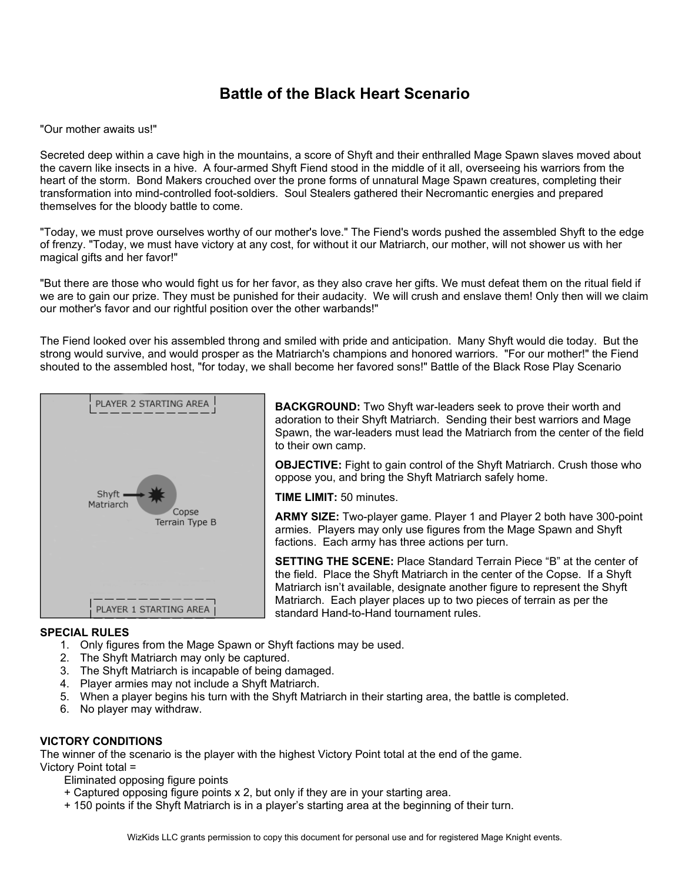## **Battle of the Black Heart Scenario**

## "Our mother awaits us!"

Secreted deep within a cave high in the mountains, a score of Shyft and their enthralled Mage Spawn slaves moved about the cavern like insects in a hive. A four-armed Shyft Fiend stood in the middle of it all, overseeing his warriors from the heart of the storm. Bond Makers crouched over the prone forms of unnatural Mage Spawn creatures, completing their transformation into mind-controlled foot-soldiers. Soul Stealers gathered their Necromantic energies and prepared themselves for the bloody battle to come.

"Today, we must prove ourselves worthy of our mother's love." The Fiend's words pushed the assembled Shyft to the edge of frenzy. "Today, we must have victory at any cost, for without it our Matriarch, our mother, will not shower us with her magical gifts and her favor!"

"But there are those who would fight us for her favor, as they also crave her gifts. We must defeat them on the ritual field if we are to gain our prize. They must be punished for their audacity. We will crush and enslave them! Only then will we claim our mother's favor and our rightful position over the other warbands!"

The Fiend looked over his assembled throng and smiled with pride and anticipation. Many Shyft would die today. But the strong would survive, and would prosper as the Matriarch's champions and honored warriors. "For our mother!" the Fiend shouted to the assembled host, "for today, we shall become her favored sons!" Battle of the Black Rose Play Scenario



**BACKGROUND:** Two Shyft war-leaders seek to prove their worth and adoration to their Shyft Matriarch. Sending their best warriors and Mage Spawn, the war-leaders must lead the Matriarch from the center of the field to their own camp.

**OBJECTIVE:** Fight to gain control of the Shyft Matriarch. Crush those who oppose you, and bring the Shyft Matriarch safely home.

**TIME LIMIT:** 50 minutes.

**ARMY SIZE:** Two-player game. Player 1 and Player 2 both have 300-point armies. Players may only use figures from the Mage Spawn and Shyft factions. Each army has three actions per turn.

**SETTING THE SCENE:** Place Standard Terrain Piece "B" at the center of the field. Place the Shyft Matriarch in the center of the Copse. If a Shyft Matriarch isn't available, designate another figure to represent the Shyft Matriarch. Each player places up to two pieces of terrain as per the standard Hand-to-Hand tournament rules.

## **SPECIAL RULES**

- 1. Only figures from the Mage Spawn or Shyft factions may be used.
- 2. The Shyft Matriarch may only be captured.
- 3. The Shyft Matriarch is incapable of being damaged.
- 4. Player armies may not include a Shyft Matriarch.
- 5. When a player begins his turn with the Shyft Matriarch in their starting area, the battle is completed.
- 6. No player may withdraw.

## **VICTORY CONDITIONS**

The winner of the scenario is the player with the highest Victory Point total at the end of the game. Victory Point total =

Eliminated opposing figure points

- + Captured opposing figure points x 2, but only if they are in your starting area.
- + 150 points if the Shyft Matriarch is in a player's starting area at the beginning of their turn.